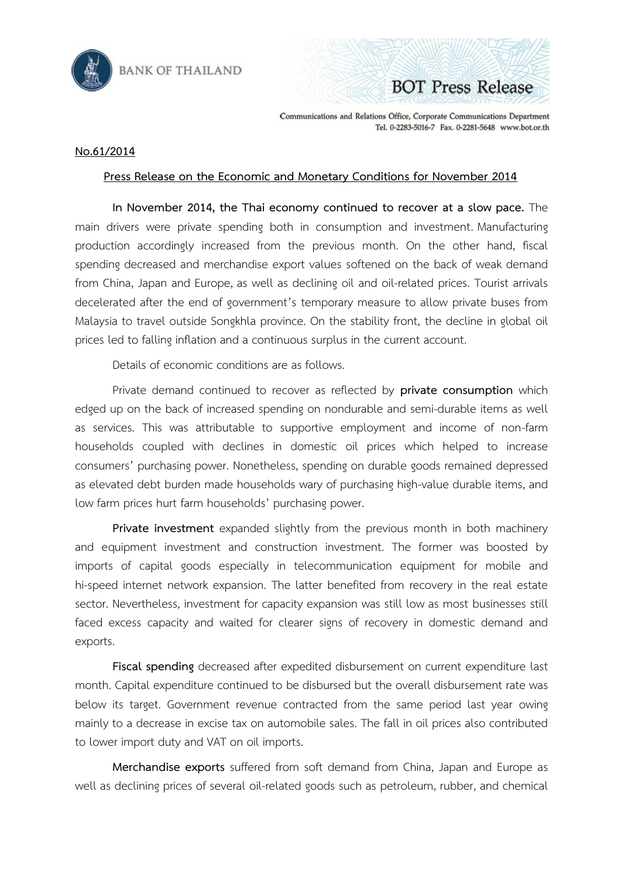



Communications and Relations Office, Corporate Communications Department Tel. 0-2283-5016-7 Fax. 0-2281-5648 www.bot.or.th

## **No.61/2014**

## **Press Release on the Economic and Monetary Conditions for November 2014**

**In November 2014, the Thai economy continued to recover at a slow pace.** The main drivers were private spending both in consumption and investment. Manufacturing production accordingly increased from the previous month. On the other hand, fiscal spending decreased and merchandise export values softened on the back of weak demand from China, Japan and Europe, as well as declining oil and oil-related prices. Tourist arrivals decelerated after the end of government's temporary measure to allow private buses from Malaysia to travel outside Songkhla province. On the stability front, the decline in global oil prices led to falling inflation and a continuous surplus in the current account.

Details of economic conditions are as follows.

Private demand continued to recover as reflected by **private consumption** which edged up on the back of increased spending on nondurable and semi-durable items as well as services. This was attributable to supportive employment and income of non-farm households coupled with declines in domestic oil prices which helped to increase consumers' purchasing power. Nonetheless, spending on durable goods remained depressed as elevated debt burden made households wary of purchasing high-value durable items, and low farm prices hurt farm households' purchasing power.

**Private investment** expanded slightly from the previous month in both machinery and equipment investment and construction investment. The former was boosted by imports of capital goods especially in telecommunication equipment for mobile and hi-speed internet network expansion. The latter benefited from recovery in the real estate sector. Nevertheless, investment for capacity expansion was still low as most businesses still faced excess capacity and waited for clearer signs of recovery in domestic demand and exports.

**Fiscal spending** decreased after expedited disbursement on current expenditure last month. Capital expenditure continued to be disbursed but the overall disbursement rate was below its target. Government revenue contracted from the same period last year owing mainly to a decrease in excise tax on automobile sales. The fall in oil prices also contributed to lower import duty and VAT on oil imports.

**Merchandise exports** suffered from soft demand from China, Japan and Europe as well as declining prices of several oil-related goods such as petroleum, rubber, and chemical